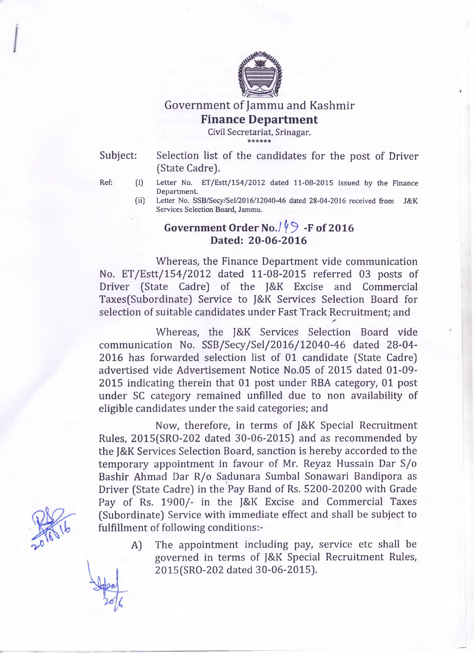

Government of Jammu and Kashmir

## **Finance Department**

**Civil Secretariat, Srinagar.** \* \* \* \* \* \*

Subject: Selection list of the candidates for the post of Driver (State Cadre).

- Ref: (i) Letter No. ET/Estt/154/2012 dated 11-08-2015 issued by the Finance **Department**
	- **(ii) Letter No. SSB/Secy/Sel/2016/12040-46 dated 28-04-2016 received from J&K Services Selection Board, Jammu.**

## **Government Order No./**  $\sqrt{9}$  **-F of 2016 Dated: 20-06-2016**

Whereas, the Finance Department vide communication No. ET/Estt/154/2012 dated 11-08-2015 referred 03 posts of Driver (State Cadre) of the J&K Excise and Commercial Taxes(Subordinate) Service to J&K Services Selection Board for selection of suitable candidates under Fast Track Recruitment; and

Whereas, the J&K Services Selection Board vide communication No. SSB/Secy/Sel/2016/12040-46 dated 28-04 2016 has forwarded selection list of 01 candidate (State Cadre) advertised vide Advertisement Notice No.05 of 2015 dated 01-09 2015 indicating therein that 01 post under RBA category, 01 post under SC category remained unfilled due to non availability of eligible candidates under the said categories; and

Now, therefore, in terms of J&K Special Recruitment Rules, 2015(SRO-202 dated 30-06-2015) and as recommended by the J&K Services Selection Board, sanction is hereby accorded to the temporary appointment in favour of Mr. Reyaz Hussain Dar S/o Bashir Ahmad Dar R/o Sadunara Sumbal Sonawari Bandipora as Driver (State Cadre) in the Pay Band of Rs. 5200-20200 with Grade Pay of Rs. 1900/- in the J&K Excise and Commercial Taxes (Subordinate) Service with immediate effect and shall be subject to fulfillment of following conditions:-

A) The appointment including pay, service etc shall be governed in terms of J&K Special Recruitment Rules, 2015(SRO-202 dated 30-06-2015).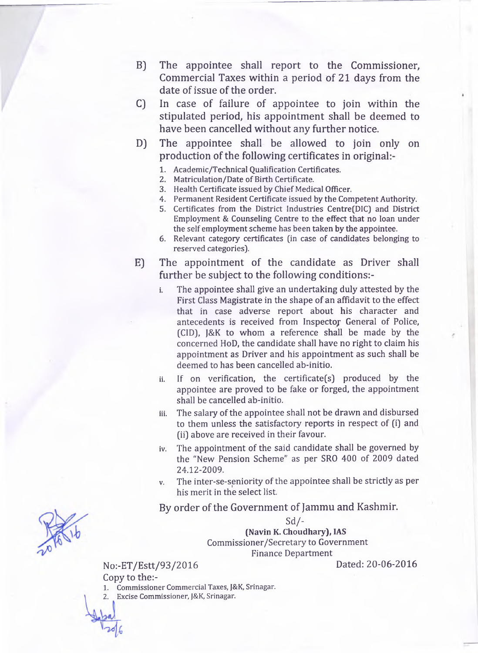- B) The appointee shall report to the Commissioner, Commercial Taxes within a period of 21 days from the date of issue of the order.
- C) In case of failure of appointee to join within the stipulated period, his appointment shall be deemed to have been cancelled without any further notice.
- D) The appointee shall be allowed to join only on production of the following certificates in original
	- **1. Academic/Technical Qualification Certificates.**
	- **2. Matriculation/Date of Birth Certificate.**
	- **3. Health Certificate issued by Chief Medical Officer.**
	- **4. Permanent Resident Certificate issued by the Competent Authority.**
	- **5. Certificates from the District Industries Centre(DIC) and District Employment & Counseling Centre to the effect that no loan under the self employment scheme has been taken by the appointee.**
	- **6. Relevant category certificates (in case of candidates belonging to reserved categories).**
- E) The appointment of the candidate as Driver shall further be subject to the following conditions:
	- **i. The appointee shall give an undertaking duly attested by the First Class Magistrate in the shape of an affidavit to the effect that in case adverse report about his character and antecedents is received from Inspectoj General of Police, (CID), J&K to whom a reference shall be made by the concerned HoD, the candidate shall have no right to claim his appointment as Driver and his appointment as such shall be deemed to has been cancelled ab-initio.**
	- **ii. If on verification, the certificate(s) produced by the appointee are proved to be fake or forged, the appointment shall be cancelled ab-initio.**
	- **iii. The salary of the appointee shall not be drawn and disbursed to them unless the satisfactory reports in respect of (i) and (ii) above are received in their favour.**
	- **iv. The appointment of the said candidate shall be governed by the "New Pension Scheme" as per SRO 400 of 2009 dated 24.12-2009.**
	- **v. The inter-se-seniority of the appointee shall be strictly as per his merit in the select list.**

By order of the Government of Jammu and Kashmir.

Sd/- **(Navin K. Choudhary), IAS Commissioner/Secretary to Government Finance Department**

No:-ET/Estt/93/2016 Dated: 20-06-2016

Copy to the:-

**1. Commissioner Commercial Taxes, J&K, Srinagar.**

**2. Excise Commissioner, J&K, Srinagar.**